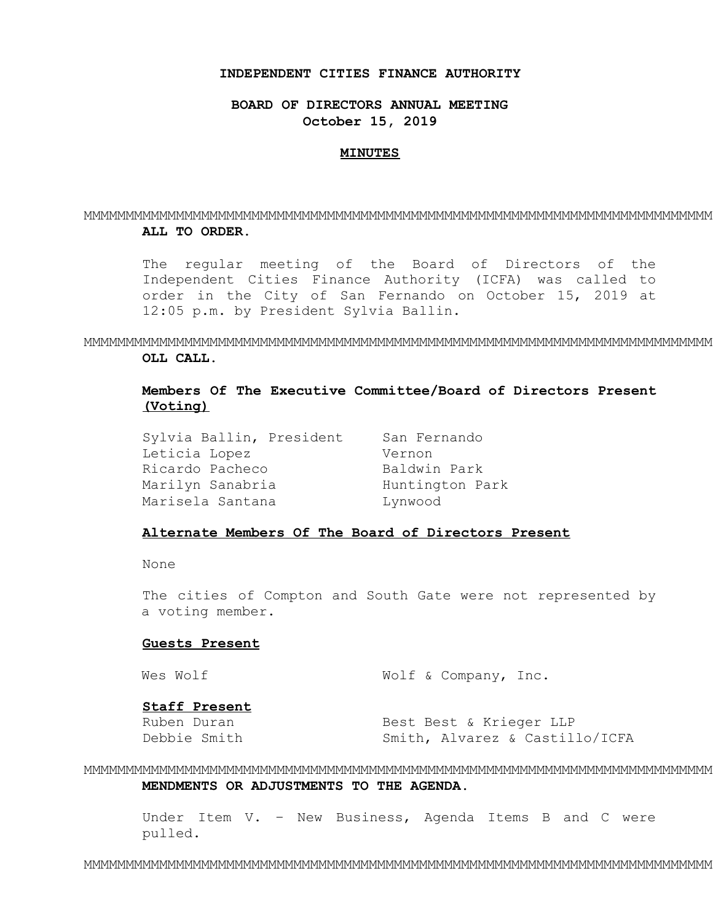### **INDEPENDENT CITIES FINANCE AUTHORITY**

**BOARD OF DIRECTORS ANNUAL MEETING October 15, 2019** 

#### **MINUTES**

## MMMMMMMMMMMMMMMMMMMMMMMMMMMMMMMMMMMMMMMMMMMMMMMMMMMMMMMMMMMMMMMMMMMMMMMMMMM **ALL TO ORDER.**

The regular meeting of the Board of Directors of the Independent Cities Finance Authority (ICFA) was called to order in the City of San Fernando on October 15, 2019 at 12:05 p.m. by President Sylvia Ballin.

MMMMMMMMMMMMMMMMMMMMMMMMMMMMMMMMMMMMMMMMMMMMMMMMMMMMMMMMMMMMMMMMMMMMMMMMMMM **OLL CALL.** 

# **Members Of The Executive Committee/Board of Directors Present (Voting)**

Sylvia Ballin, President San Fernando Leticia Lopez Vernon Ricardo Pacheco Baldwin Park Marilyn Sanabria **Huntington Park** Marisela Santana Lynwood

# **Alternate Members Of The Board of Directors Present**

None

The cities of Compton and South Gate were not represented by a voting member.

### **Guests Present**

```
Wes Wolf W Wolf & Company, Inc.
```
## **Staff Present**

Ruben Duran Best Best & Krieger LLP Debbie Smith Smith, Alvarez & Castillo/ICFA

MMMMMMMMMMMMMMMMMMMMMMMMMMMMMMMMMMMMMMMMMMMMMMMMMMMMMMMMMMMMMMMMMMMMMMMMMMM **MENDMENTS OR ADJUSTMENTS TO THE AGENDA.** 

Under Item V. – New Business, Agenda Items B and C were pulled.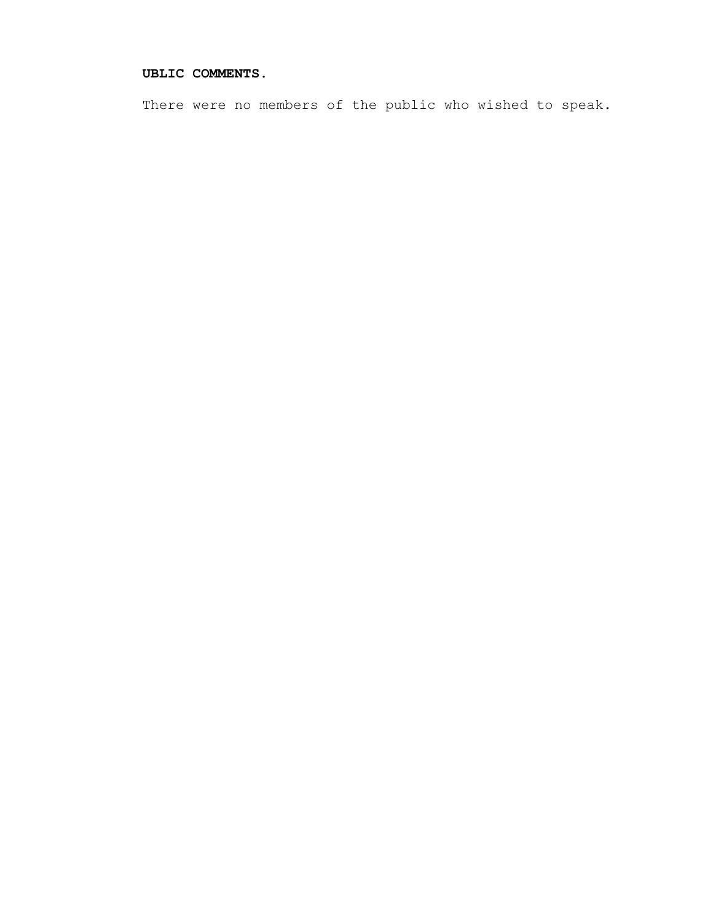# **UBLIC COMMENTS.**

There were no members of the public who wished to speak.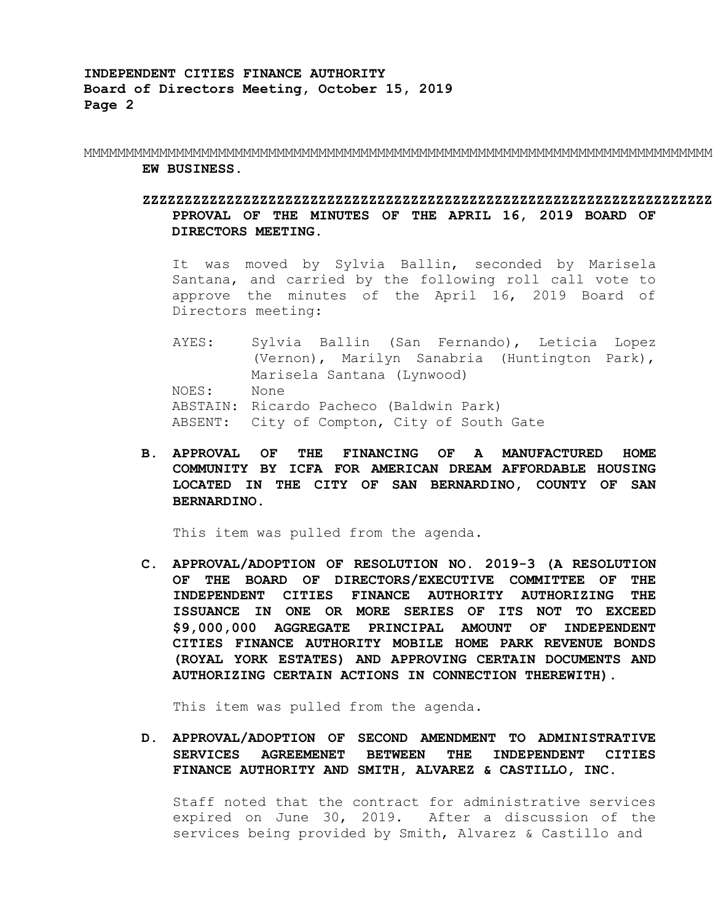MMMMMMMMMMMMMMMMMMMMMMMMMMMMMMMMMMMMMMMMMMMMMMMMMMMMMMMMMMMMMMMMMMMMMMMMMMM **EW BUSINESS.** 

# **ZZZZZZZZZZZZZZZZZZZZZZZZZZZZZZZZZZZZZZZZZZZZZZZZZZZZZZZZZZZZZZZZZZZZ PPROVAL OF THE MINUTES OF THE APRIL 16, 2019 BOARD OF DIRECTORS MEETING.**

It was moved by Sylvia Ballin, seconded by Marisela Santana, and carried by the following roll call vote to approve the minutes of the April 16, 2019 Board of Directors meeting:

AYES: Sylvia Ballin (San Fernando), Leticia Lopez (Vernon), Marilyn Sanabria (Huntington Park), Marisela Santana (Lynwood) NOES: None ABSTAIN: Ricardo Pacheco (Baldwin Park) ABSENT: City of Compton, City of South Gate

**B. APPROVAL OF THE FINANCING OF A MANUFACTURED HOME COMMUNITY BY ICFA FOR AMERICAN DREAM AFFORDABLE HOUSING LOCATED IN THE CITY OF SAN BERNARDINO, COUNTY OF SAN BERNARDINO.** 

This item was pulled from the agenda.

**C. APPROVAL/ADOPTION OF RESOLUTION NO. 2019-3 (A RESOLUTION OF THE BOARD OF DIRECTORS/EXECUTIVE COMMITTEE OF THE INDEPENDENT CITIES FINANCE AUTHORITY AUTHORIZING THE ISSUANCE IN ONE OR MORE SERIES OF ITS NOT TO EXCEED \$9,000,000 AGGREGATE PRINCIPAL AMOUNT OF INDEPENDENT CITIES FINANCE AUTHORITY MOBILE HOME PARK REVENUE BONDS (ROYAL YORK ESTATES) AND APPROVING CERTAIN DOCUMENTS AND AUTHORIZING CERTAIN ACTIONS IN CONNECTION THEREWITH).** 

This item was pulled from the agenda.

**D. APPROVAL/ADOPTION OF SECOND AMENDMENT TO ADMINISTRATIVE SERVICES AGREEMENET BETWEEN THE INDEPENDENT CITIES FINANCE AUTHORITY AND SMITH, ALVAREZ & CASTILLO, INC.** 

Staff noted that the contract for administrative services expired on June 30, 2019. After a discussion of the services being provided by Smith, Alvarez & Castillo and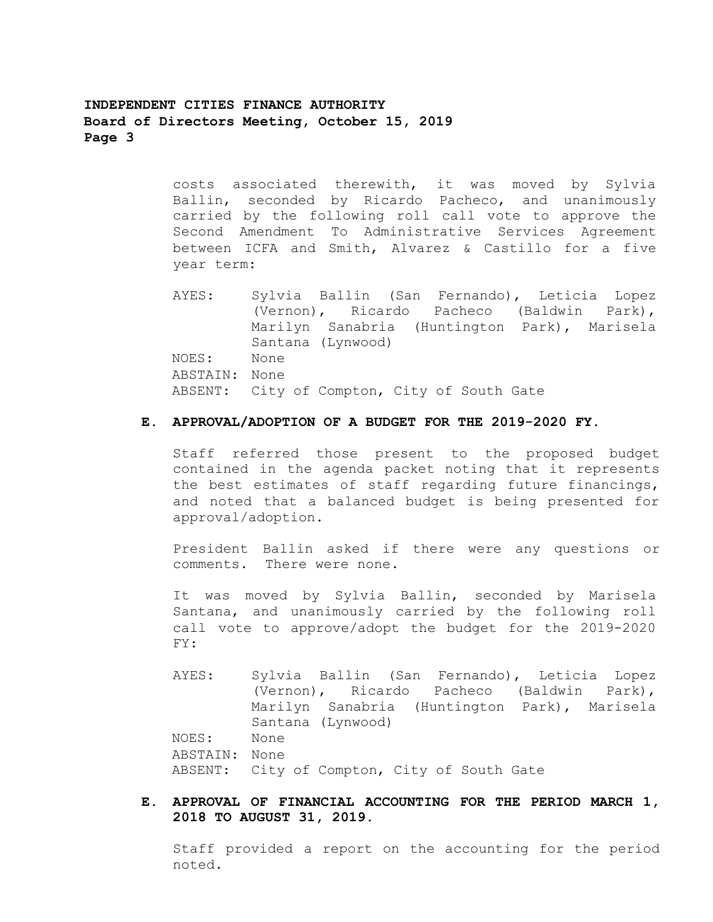**INDEPENDENT CITIES FINANCE AUTHORITY Board of Directors Meeting, October 15, 2019 Page 3** 

> costs associated therewith, it was moved by Sylvia Ballin, seconded by Ricardo Pacheco, and unanimously carried by the following roll call vote to approve the Second Amendment To Administrative Services Agreement between ICFA and Smith, Alvarez & Castillo for a five year term:

> AYES: Sylvia Ballin (San Fernando), Leticia Lopez (Vernon), Ricardo Pacheco (Baldwin Park), Marilyn Sanabria (Huntington Park), Marisela Santana (Lynwood) NOES: None ABSTAIN: None ABSENT: City of Compton, City of South Gate

# **E. APPROVAL/ADOPTION OF A BUDGET FOR THE 2019-2020 FY.**

Staff referred those present to the proposed budget contained in the agenda packet noting that it represents the best estimates of staff regarding future financings, and noted that a balanced budget is being presented for approval/adoption.

President Ballin asked if there were any questions or comments. There were none.

It was moved by Sylvia Ballin, seconded by Marisela Santana, and unanimously carried by the following roll call vote to approve/adopt the budget for the 2019-2020 FY:

- AYES: Sylvia Ballin (San Fernando), Leticia Lopez (Vernon), Ricardo Pacheco (Baldwin Park), Marilyn Sanabria (Huntington Park), Marisela Santana (Lynwood) NOES: None ABSTAIN: None ABSENT: City of Compton, City of South Gate
- **E. APPROVAL OF FINANCIAL ACCOUNTING FOR THE PERIOD MARCH 1, 2018 TO AUGUST 31, 2019.**

Staff provided a report on the accounting for the period noted.